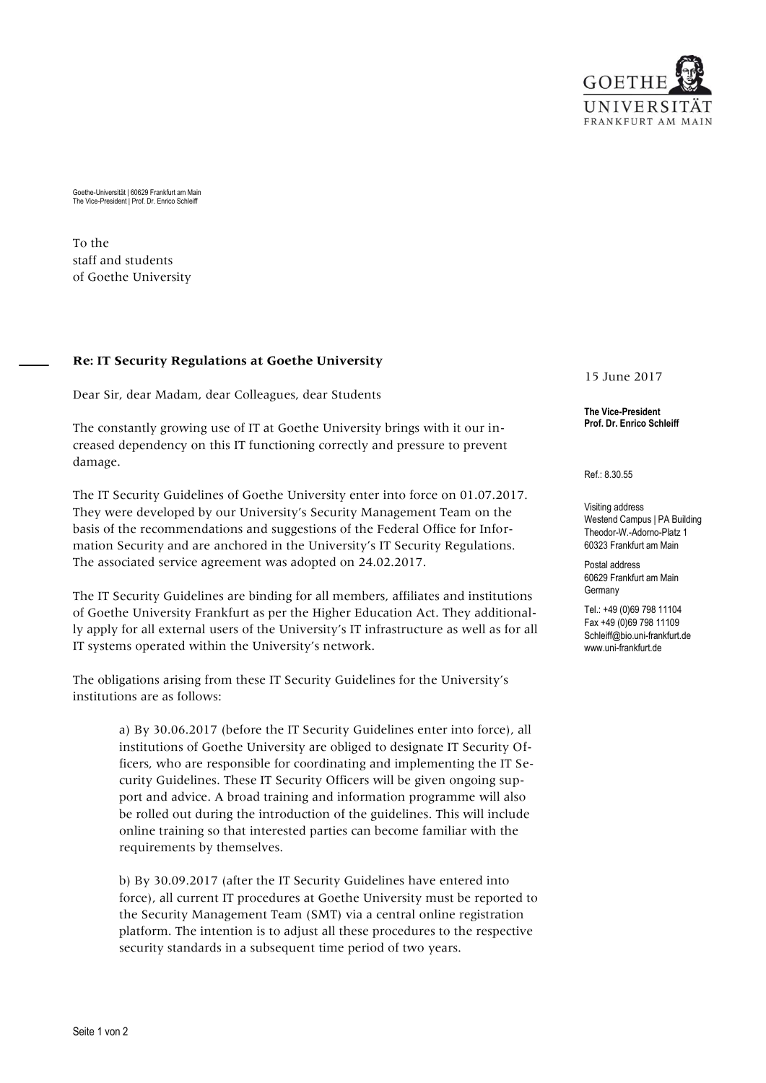

Goethe-Universität | 60629 Frankfurt am Main The Vice-President | Prof. Dr. Enrico Schleiff

To the staff and students of Goethe University

## **Re: IT Security Regulations at Goethe University**

Dear Sir, dear Madam, dear Colleagues, dear Students

The constantly growing use of IT at Goethe University brings with it our increased dependency on this IT functioning correctly and pressure to prevent damage.

The IT Security Guidelines of Goethe University enter into force on 01.07.2017. They were developed by our University's Security Management Team on the basis of the recommendations and suggestions of the Federal Office for Information Security and are anchored in the University's IT Security Regulations. The associated service agreement was adopted on 24.02.2017.

The IT Security Guidelines are binding for all members, affiliates and institutions of Goethe University Frankfurt as per the Higher Education Act. They additionally apply for all external users of the University's IT infrastructure as well as for all IT systems operated within the University's network.

The obligations arising from these IT Security Guidelines for the University's institutions are as follows:

> a) By 30.06.2017 (before the IT Security Guidelines enter into force), all institutions of Goethe University are obliged to designate IT Security Officers, who are responsible for coordinating and implementing the IT Security Guidelines. These IT Security Officers will be given ongoing support and advice. A broad training and information programme will also be rolled out during the introduction of the guidelines. This will include online training so that interested parties can become familiar with the requirements by themselves.

b) By 30.09.2017 (after the IT Security Guidelines have entered into force), all current IT procedures at Goethe University must be reported to the Security Management Team (SMT) via a central online registration platform. The intention is to adjust all these procedures to the respective security standards in a subsequent time period of two years.

15 June 2017

**The Vice-President Prof. Dr. Enrico Schleiff**

Ref.: 8.30.55

Visiting address Westend Campus | PA Building Theodor-W.-Adorno-Platz 1 60323 Frankfurt am Main

Postal address 60629 Frankfurt am Main Germany

Tel.: +49 (0)69 798 11104 Fax +49 (0)69 798 11109 Schleiff@bio.uni-frankfurt.de www.uni-frankfurt.de